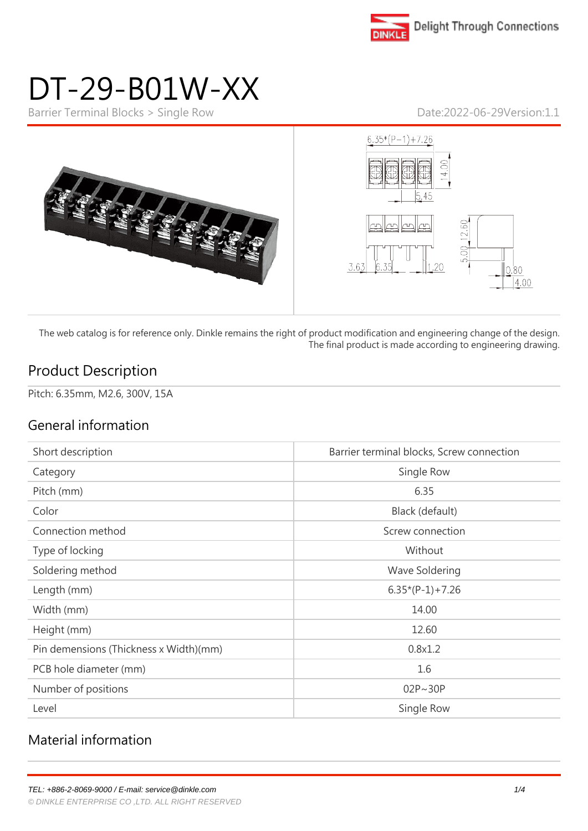

# DT-29-B01W-XX

Barrier Terminal Blocks > Single Row Date:2022-06-29Version:1.1



The web catalog is for reference only. Dinkle remains the right of product modification and engineering change of the design. The final product is made according to engineering drawing.

#### Product Description

Pitch: 6.35mm, M2.6, 300V, 15A

#### General information

| Short description                      | Barrier terminal blocks, Screw connection |
|----------------------------------------|-------------------------------------------|
| Category                               | Single Row                                |
| Pitch (mm)                             | 6.35                                      |
| Color                                  | Black (default)                           |
| Connection method                      | Screw connection                          |
| Type of locking                        | Without                                   |
| Soldering method                       | Wave Soldering                            |
| Length (mm)                            | $6.35*(P-1)+7.26$                         |
| Width (mm)                             | 14.00                                     |
| Height (mm)                            | 12.60                                     |
| Pin demensions (Thickness x Width)(mm) | 0.8x1.2                                   |
| PCB hole diameter (mm)                 | 1.6                                       |
| Number of positions                    | $02P \sim 30P$                            |
| Level                                  | Single Row                                |

#### Material information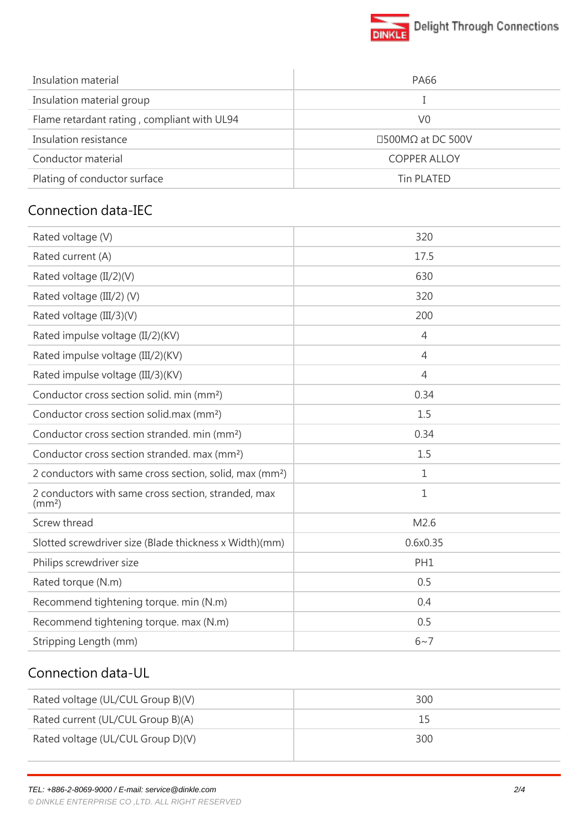

| Insulation material                         | <b>PA66</b>             |
|---------------------------------------------|-------------------------|
| Insulation material group                   |                         |
| Flame retardant rating, compliant with UL94 | V0                      |
| Insulation resistance                       | $\Box$ 500MΩ at DC 500V |
| Conductor material                          | <b>COPPER ALLOY</b>     |
| Plating of conductor surface                | Tin PLATED              |

#### Connection data-IEC

| Rated voltage (V)                                                         | 320             |
|---------------------------------------------------------------------------|-----------------|
| Rated current (A)                                                         | 17.5            |
| Rated voltage (II/2)(V)                                                   | 630             |
| Rated voltage (III/2) (V)                                                 | 320             |
| Rated voltage (III/3)(V)                                                  | 200             |
| Rated impulse voltage (II/2)(KV)                                          | $\overline{4}$  |
| Rated impulse voltage (III/2)(KV)                                         | $\overline{4}$  |
| Rated impulse voltage (III/3)(KV)                                         | $\overline{4}$  |
| Conductor cross section solid. min (mm <sup>2</sup> )                     | 0.34            |
| Conductor cross section solid.max (mm <sup>2</sup> )                      | 1.5             |
| Conductor cross section stranded. min (mm <sup>2</sup> )                  | 0.34            |
| Conductor cross section stranded. max (mm <sup>2</sup> )                  | 1.5             |
| 2 conductors with same cross section, solid, max (mm <sup>2</sup> )       | 1               |
| 2 conductors with same cross section, stranded, max<br>(mm <sup>2</sup> ) | $\mathbf 1$     |
| Screw thread                                                              | M2.6            |
| Slotted screwdriver size (Blade thickness x Width)(mm)                    | 0.6x0.35        |
| Philips screwdriver size                                                  | PH <sub>1</sub> |
| Rated torque (N.m)                                                        | 0.5             |
| Recommend tightening torque. min (N.m)                                    | 0.4             |
| Recommend tightening torque. max (N.m)                                    | 0.5             |
| Stripping Length (mm)                                                     | $6 - 7$         |
|                                                                           |                 |

## Connection data-UL

| Rated voltage (UL/CUL Group B)(V) | 300 |
|-----------------------------------|-----|
| Rated current (UL/CUL Group B)(A) | 15  |
| Rated voltage (UL/CUL Group D)(V) | 300 |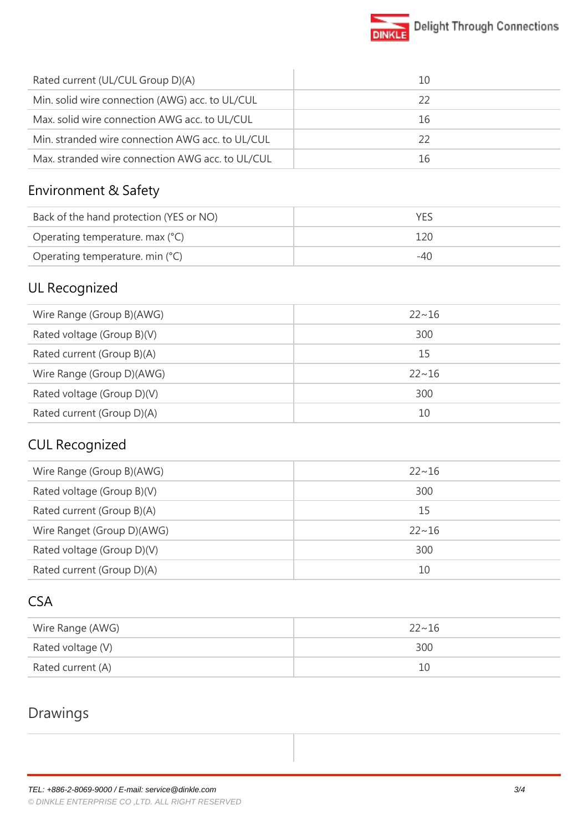

| Rated current (UL/CUL Group D)(A)                | 10 |
|--------------------------------------------------|----|
| Min. solid wire connection (AWG) acc. to UL/CUL  | 22 |
| Max. solid wire connection AWG acc. to UL/CUL    | 16 |
| Min. stranded wire connection AWG acc. to UL/CUL | 22 |
| Max. stranded wire connection AWG acc. to UL/CUL | 16 |

#### Environment & Safety

| Back of the hand protection (YES or NO) |     |
|-----------------------------------------|-----|
| Operating temperature. max (°C)         | 120 |
| Operating temperature. min (°C)         | -40 |

## UL Recognized

| $22 \sim 16$ |
|--------------|
| 300          |
| 15           |
| $22 \sim 16$ |
| 300          |
| 10           |
|              |

# CUL Recognized

| Wire Range (Group B)(AWG)  | $22 \sim 16$ |
|----------------------------|--------------|
| Rated voltage (Group B)(V) | 300          |
| Rated current (Group B)(A) | 15           |
| Wire Ranget (Group D)(AWG) | $22 \sim 16$ |
| Rated voltage (Group D)(V) | 300          |
| Rated current (Group D)(A) | 10           |

#### CSA

| Wire Range (AWG)  | $22 - 16$ |
|-------------------|-----------|
| Rated voltage (V) | 300       |
| Rated current (A) | 10        |

## Drawings